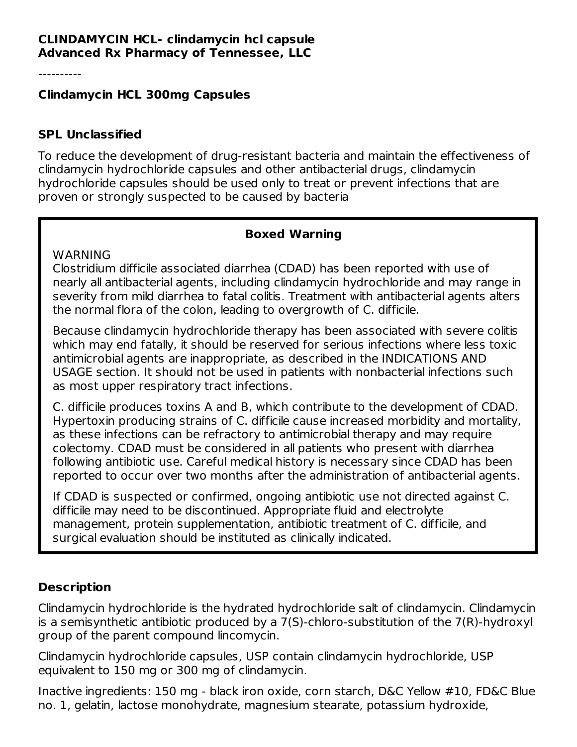## **CLINDAMYCIN HCL- clindamycin hcl capsule Advanced Rx Pharmacy of Tennessee, LLC**

----------

#### **Clindamycin HCL 300mg Capsules**

#### **SPL Unclassified**

To reduce the development of drug-resistant bacteria and maintain the effectiveness of clindamycin hydrochloride capsules and other antibacterial drugs, clindamycin hydrochloride capsules should be used only to treat or prevent infections that are proven or strongly suspected to be caused by bacteria

#### **Boxed Warning**

WARNING

Clostridium difficile associated diarrhea (CDAD) has been reported with use of nearly all antibacterial agents, including clindamycin hydrochloride and may range in severity from mild diarrhea to fatal colitis. Treatment with antibacterial agents alters the normal flora of the colon, leading to overgrowth of C. difficile.

Because clindamycin hydrochloride therapy has been associated with severe colitis which may end fatally, it should be reserved for serious infections where less toxic antimicrobial agents are inappropriate, as described in the INDICATIONS AND USAGE section. It should not be used in patients with nonbacterial infections such as most upper respiratory tract infections.

C. difficile produces toxins A and B, which contribute to the development of CDAD. Hypertoxin producing strains of C. difficile cause increased morbidity and mortality, as these infections can be refractory to antimicrobial therapy and may require colectomy. CDAD must be considered in all patients who present with diarrhea following antibiotic use. Careful medical history is necessary since CDAD has been reported to occur over two months after the administration of antibacterial agents.

If CDAD is suspected or confirmed, ongoing antibiotic use not directed against C. difficile may need to be discontinued. Appropriate fluid and electrolyte management, protein supplementation, antibiotic treatment of C. difficile, and surgical evaluation should be instituted as clinically indicated.

## **Description**

Clindamycin hydrochloride is the hydrated hydrochloride salt of clindamycin. Clindamycin is a semisynthetic antibiotic produced by a 7(S)-chloro-substitution of the 7(R)-hydroxyl group of the parent compound lincomycin.

Clindamycin hydrochloride capsules, USP contain clindamycin hydrochloride, USP equivalent to 150 mg or 300 mg of clindamycin.

Inactive ingredients: 150 mg - black iron oxide, corn starch, D&C Yellow #10, FD&C Blue no. 1, gelatin, lactose monohydrate, magnesium stearate, potassium hydroxide,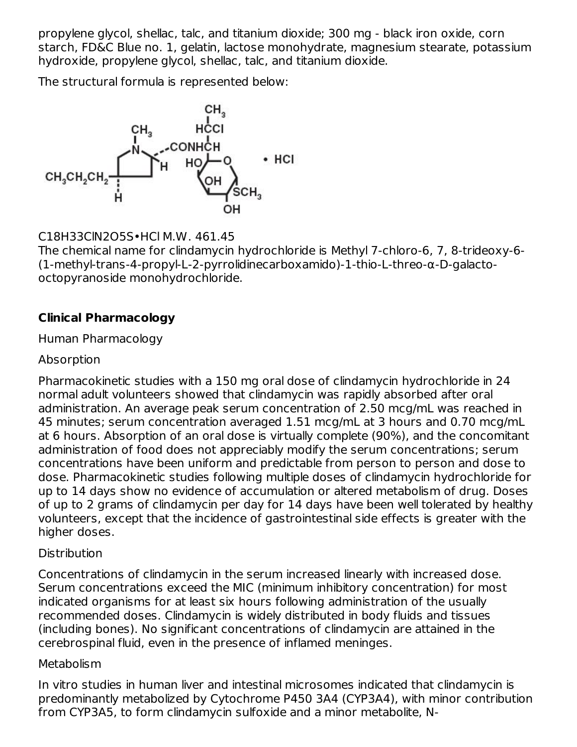propylene glycol, shellac, talc, and titanium dioxide; 300 mg - black iron oxide, corn starch, FD&C Blue no. 1, gelatin, lactose monohydrate, magnesium stearate, potassium hydroxide, propylene glycol, shellac, talc, and titanium dioxide.

The structural formula is represented below:



C18H33ClN2O5S•HCl M.W. 461.45

The chemical name for clindamycin hydrochloride is Methyl 7-chloro-6, 7, 8-trideoxy-6- (1-methyl-trans-4-propyl-L-2-pyrrolidinecarboxamido)-1-thio-L-threo-α-D-galactooctopyranoside monohydrochloride.

# **Clinical Pharmacology**

Human Pharmacology

## Absorption

Pharmacokinetic studies with a 150 mg oral dose of clindamycin hydrochloride in 24 normal adult volunteers showed that clindamycin was rapidly absorbed after oral administration. An average peak serum concentration of 2.50 mcg/mL was reached in 45 minutes; serum concentration averaged 1.51 mcg/mL at 3 hours and 0.70 mcg/mL at 6 hours. Absorption of an oral dose is virtually complete (90%), and the concomitant administration of food does not appreciably modify the serum concentrations; serum concentrations have been uniform and predictable from person to person and dose to dose. Pharmacokinetic studies following multiple doses of clindamycin hydrochloride for up to 14 days show no evidence of accumulation or altered metabolism of drug. Doses of up to 2 grams of clindamycin per day for 14 days have been well tolerated by healthy volunteers, except that the incidence of gastrointestinal side effects is greater with the higher doses.

## **Distribution**

Concentrations of clindamycin in the serum increased linearly with increased dose. Serum concentrations exceed the MIC (minimum inhibitory concentration) for most indicated organisms for at least six hours following administration of the usually recommended doses. Clindamycin is widely distributed in body fluids and tissues (including bones). No significant concentrations of clindamycin are attained in the cerebrospinal fluid, even in the presence of inflamed meninges.

## **Metabolism**

In vitro studies in human liver and intestinal microsomes indicated that clindamycin is predominantly metabolized by Cytochrome P450 3A4 (CYP3A4), with minor contribution from CYP3A5, to form clindamycin sulfoxide and a minor metabolite, N-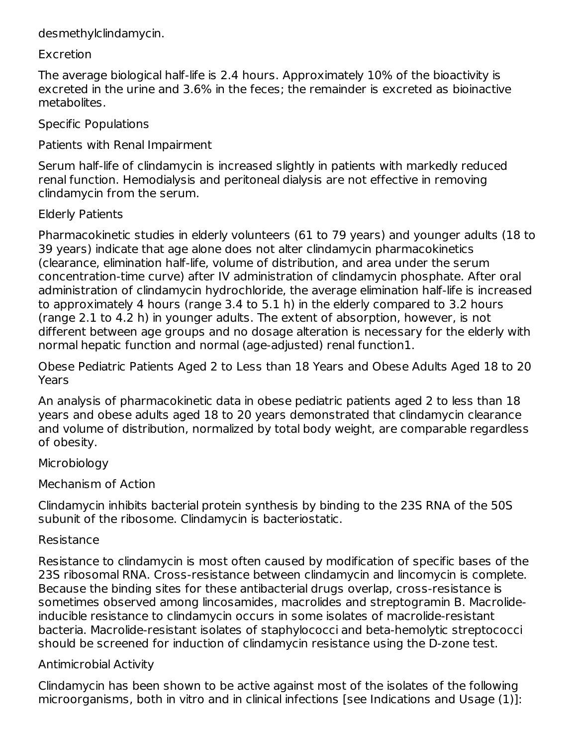desmethylclindamycin.

## Excretion

The average biological half-life is 2.4 hours. Approximately 10% of the bioactivity is excreted in the urine and 3.6% in the feces; the remainder is excreted as bioinactive metabolites.

Specific Populations

Patients with Renal Impairment

Serum half-life of clindamycin is increased slightly in patients with markedly reduced renal function. Hemodialysis and peritoneal dialysis are not effective in removing clindamycin from the serum.

## Elderly Patients

Pharmacokinetic studies in elderly volunteers (61 to 79 years) and younger adults (18 to 39 years) indicate that age alone does not alter clindamycin pharmacokinetics (clearance, elimination half-life, volume of distribution, and area under the serum concentration-time curve) after IV administration of clindamycin phosphate. After oral administration of clindamycin hydrochloride, the average elimination half-life is increased to approximately 4 hours (range 3.4 to 5.1 h) in the elderly compared to 3.2 hours (range 2.1 to 4.2 h) in younger adults. The extent of absorption, however, is not different between age groups and no dosage alteration is necessary for the elderly with normal hepatic function and normal (age-adjusted) renal function1.

Obese Pediatric Patients Aged 2 to Less than 18 Years and Obese Adults Aged 18 to 20 **Years** 

An analysis of pharmacokinetic data in obese pediatric patients aged 2 to less than 18 years and obese adults aged 18 to 20 years demonstrated that clindamycin clearance and volume of distribution, normalized by total body weight, are comparable regardless of obesity.

## Microbiology

## Mechanism of Action

Clindamycin inhibits bacterial protein synthesis by binding to the 23S RNA of the 50S subunit of the ribosome. Clindamycin is bacteriostatic.

## Resistance

Resistance to clindamycin is most often caused by modification of specific bases of the 23S ribosomal RNA. Cross-resistance between clindamycin and lincomycin is complete. Because the binding sites for these antibacterial drugs overlap, cross-resistance is sometimes observed among lincosamides, macrolides and streptogramin B. Macrolideinducible resistance to clindamycin occurs in some isolates of macrolide-resistant bacteria. Macrolide-resistant isolates of staphylococci and beta-hemolytic streptococci should be screened for induction of clindamycin resistance using the D-zone test.

## Antimicrobial Activity

Clindamycin has been shown to be active against most of the isolates of the following microorganisms, both in vitro and in clinical infections [see Indications and Usage  $(1)$ ]: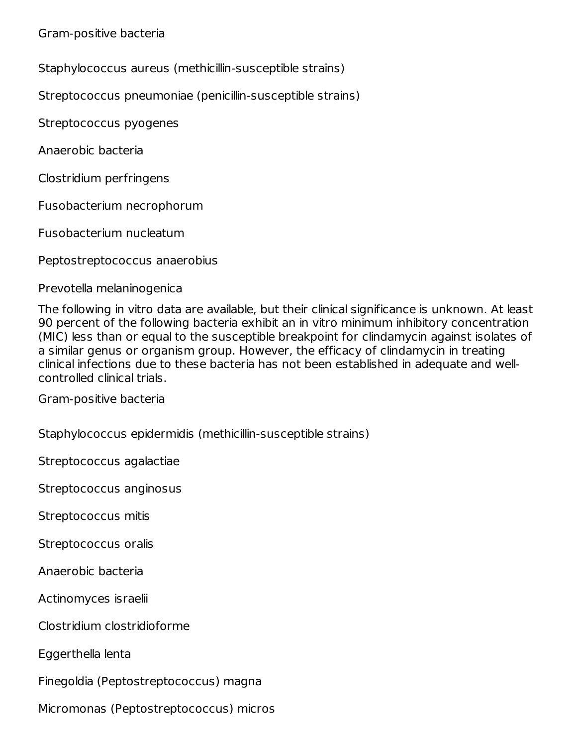Staphylococcus aureus (methicillin-susceptible strains)

Streptococcus pneumoniae (penicillin-susceptible strains)

Streptococcus pyogenes

Anaerobic bacteria

Clostridium perfringens

Fusobacterium necrophorum

Fusobacterium nucleatum

Peptostreptococcus anaerobius

Prevotella melaninogenica

The following in vitro data are available, but their clinical significance is unknown. At least 90 percent of the following bacteria exhibit an in vitro minimum inhibitory concentration (MIC) less than or equal to the susceptible breakpoint for clindamycin against isolates of a similar genus or organism group. However, the efficacy of clindamycin in treating clinical infections due to these bacteria has not been established in adequate and wellcontrolled clinical trials.

Gram-positive bacteria

Staphylococcus epidermidis (methicillin-susceptible strains)

Streptococcus agalactiae

Streptococcus anginosus

Streptococcus mitis

Streptococcus oralis

Anaerobic bacteria

Actinomyces israelii

Clostridium clostridioforme

Eggerthella lenta

Finegoldia (Peptostreptococcus) magna

Micromonas (Peptostreptococcus) micros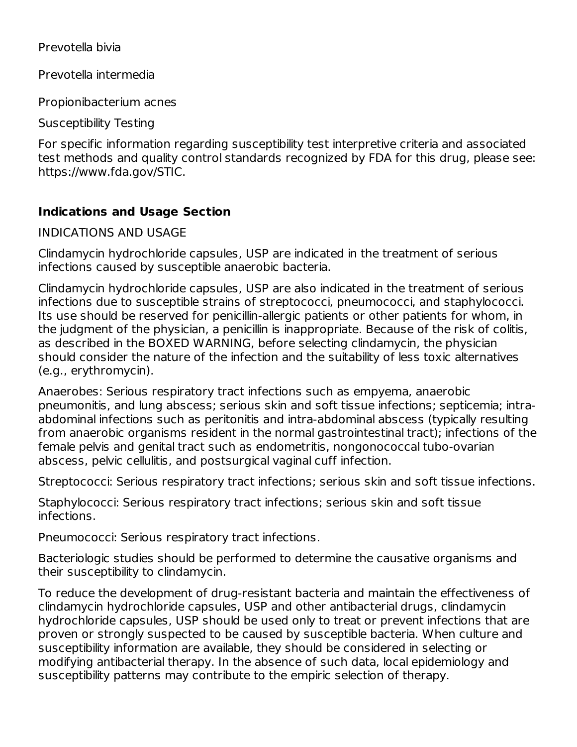Prevotella bivia

Prevotella intermedia

Propionibacterium acnes

Susceptibility Testing

For specific information regarding susceptibility test interpretive criteria and associated test methods and quality control standards recognized by FDA for this drug, please see: https://www.fda.gov/STIC.

# **Indications and Usage Section**

## INDICATIONS AND USAGE

Clindamycin hydrochloride capsules, USP are indicated in the treatment of serious infections caused by susceptible anaerobic bacteria.

Clindamycin hydrochloride capsules, USP are also indicated in the treatment of serious infections due to susceptible strains of streptococci, pneumococci, and staphylococci. Its use should be reserved for penicillin-allergic patients or other patients for whom, in the judgment of the physician, a penicillin is inappropriate. Because of the risk of colitis, as described in the BOXED WARNING, before selecting clindamycin, the physician should consider the nature of the infection and the suitability of less toxic alternatives (e.g., erythromycin).

Anaerobes: Serious respiratory tract infections such as empyema, anaerobic pneumonitis, and lung abscess; serious skin and soft tissue infections; septicemia; intraabdominal infections such as peritonitis and intra-abdominal abscess (typically resulting from anaerobic organisms resident in the normal gastrointestinal tract); infections of the female pelvis and genital tract such as endometritis, nongonococcal tubo-ovarian abscess, pelvic cellulitis, and postsurgical vaginal cuff infection.

Streptococci: Serious respiratory tract infections; serious skin and soft tissue infections.

Staphylococci: Serious respiratory tract infections; serious skin and soft tissue infections.

Pneumococci: Serious respiratory tract infections.

Bacteriologic studies should be performed to determine the causative organisms and their susceptibility to clindamycin.

To reduce the development of drug-resistant bacteria and maintain the effectiveness of clindamycin hydrochloride capsules, USP and other antibacterial drugs, clindamycin hydrochloride capsules, USP should be used only to treat or prevent infections that are proven or strongly suspected to be caused by susceptible bacteria. When culture and susceptibility information are available, they should be considered in selecting or modifying antibacterial therapy. In the absence of such data, local epidemiology and susceptibility patterns may contribute to the empiric selection of therapy.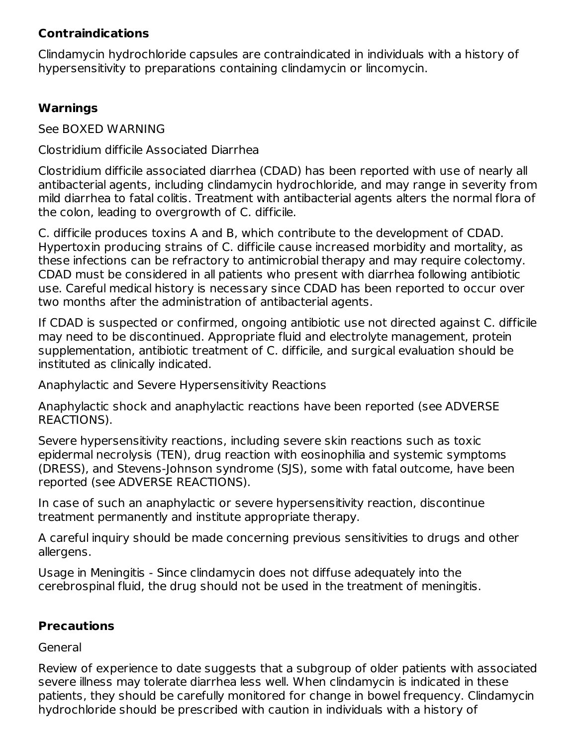## **Contraindications**

Clindamycin hydrochloride capsules are contraindicated in individuals with a history of hypersensitivity to preparations containing clindamycin or lincomycin.

## **Warnings**

See BOXED WARNING

Clostridium difficile Associated Diarrhea

Clostridium difficile associated diarrhea (CDAD) has been reported with use of nearly all antibacterial agents, including clindamycin hydrochloride, and may range in severity from mild diarrhea to fatal colitis. Treatment with antibacterial agents alters the normal flora of the colon, leading to overgrowth of C. difficile.

C. difficile produces toxins A and B, which contribute to the development of CDAD. Hypertoxin producing strains of C. difficile cause increased morbidity and mortality, as these infections can be refractory to antimicrobial therapy and may require colectomy. CDAD must be considered in all patients who present with diarrhea following antibiotic use. Careful medical history is necessary since CDAD has been reported to occur over two months after the administration of antibacterial agents.

If CDAD is suspected or confirmed, ongoing antibiotic use not directed against C. difficile may need to be discontinued. Appropriate fluid and electrolyte management, protein supplementation, antibiotic treatment of C. difficile, and surgical evaluation should be instituted as clinically indicated.

Anaphylactic and Severe Hypersensitivity Reactions

Anaphylactic shock and anaphylactic reactions have been reported (see ADVERSE REACTIONS).

Severe hypersensitivity reactions, including severe skin reactions such as toxic epidermal necrolysis (TEN), drug reaction with eosinophilia and systemic symptoms (DRESS), and Stevens-Johnson syndrome (SJS), some with fatal outcome, have been reported (see ADVERSE REACTIONS).

In case of such an anaphylactic or severe hypersensitivity reaction, discontinue treatment permanently and institute appropriate therapy.

A careful inquiry should be made concerning previous sensitivities to drugs and other allergens.

Usage in Meningitis - Since clindamycin does not diffuse adequately into the cerebrospinal fluid, the drug should not be used in the treatment of meningitis.

## **Precautions**

## General

Review of experience to date suggests that a subgroup of older patients with associated severe illness may tolerate diarrhea less well. When clindamycin is indicated in these patients, they should be carefully monitored for change in bowel frequency. Clindamycin hydrochloride should be prescribed with caution in individuals with a history of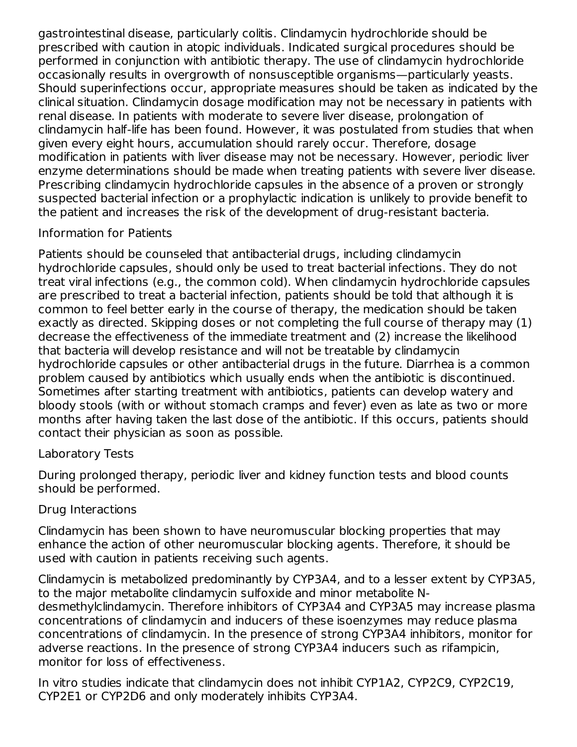gastrointestinal disease, particularly colitis. Clindamycin hydrochloride should be prescribed with caution in atopic individuals. Indicated surgical procedures should be performed in conjunction with antibiotic therapy. The use of clindamycin hydrochloride occasionally results in overgrowth of nonsusceptible organisms—particularly yeasts. Should superinfections occur, appropriate measures should be taken as indicated by the clinical situation. Clindamycin dosage modification may not be necessary in patients with renal disease. In patients with moderate to severe liver disease, prolongation of clindamycin half-life has been found. However, it was postulated from studies that when given every eight hours, accumulation should rarely occur. Therefore, dosage modification in patients with liver disease may not be necessary. However, periodic liver enzyme determinations should be made when treating patients with severe liver disease. Prescribing clindamycin hydrochloride capsules in the absence of a proven or strongly suspected bacterial infection or a prophylactic indication is unlikely to provide benefit to the patient and increases the risk of the development of drug-resistant bacteria.

## Information for Patients

Patients should be counseled that antibacterial drugs, including clindamycin hydrochloride capsules, should only be used to treat bacterial infections. They do not treat viral infections (e.g., the common cold). When clindamycin hydrochloride capsules are prescribed to treat a bacterial infection, patients should be told that although it is common to feel better early in the course of therapy, the medication should be taken exactly as directed. Skipping doses or not completing the full course of therapy may (1) decrease the effectiveness of the immediate treatment and (2) increase the likelihood that bacteria will develop resistance and will not be treatable by clindamycin hydrochloride capsules or other antibacterial drugs in the future. Diarrhea is a common problem caused by antibiotics which usually ends when the antibiotic is discontinued. Sometimes after starting treatment with antibiotics, patients can develop watery and bloody stools (with or without stomach cramps and fever) even as late as two or more months after having taken the last dose of the antibiotic. If this occurs, patients should contact their physician as soon as possible.

## Laboratory Tests

During prolonged therapy, periodic liver and kidney function tests and blood counts should be performed.

## Drug Interactions

Clindamycin has been shown to have neuromuscular blocking properties that may enhance the action of other neuromuscular blocking agents. Therefore, it should be used with caution in patients receiving such agents.

Clindamycin is metabolized predominantly by CYP3A4, and to a lesser extent by CYP3A5, to the major metabolite clindamycin sulfoxide and minor metabolite Ndesmethylclindamycin. Therefore inhibitors of CYP3A4 and CYP3A5 may increase plasma concentrations of clindamycin and inducers of these isoenzymes may reduce plasma concentrations of clindamycin. In the presence of strong CYP3A4 inhibitors, monitor for adverse reactions. In the presence of strong CYP3A4 inducers such as rifampicin, monitor for loss of effectiveness.

In vitro studies indicate that clindamycin does not inhibit CYP1A2, CYP2C9, CYP2C19, CYP2E1 or CYP2D6 and only moderately inhibits CYP3A4.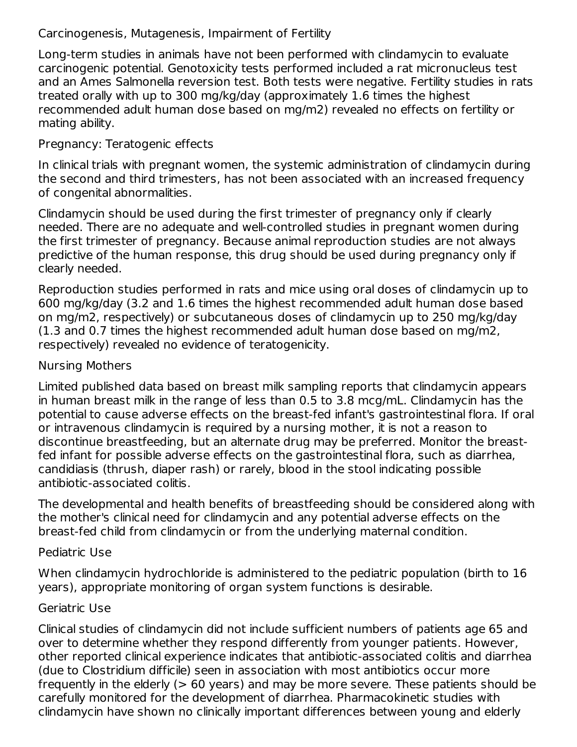## Carcinogenesis, Mutagenesis, Impairment of Fertility

Long-term studies in animals have not been performed with clindamycin to evaluate carcinogenic potential. Genotoxicity tests performed included a rat micronucleus test and an Ames Salmonella reversion test. Both tests were negative. Fertility studies in rats treated orally with up to 300 mg/kg/day (approximately 1.6 times the highest recommended adult human dose based on mg/m2) revealed no effects on fertility or mating ability.

## Pregnancy: Teratogenic effects

In clinical trials with pregnant women, the systemic administration of clindamycin during the second and third trimesters, has not been associated with an increased frequency of congenital abnormalities.

Clindamycin should be used during the first trimester of pregnancy only if clearly needed. There are no adequate and well-controlled studies in pregnant women during the first trimester of pregnancy. Because animal reproduction studies are not always predictive of the human response, this drug should be used during pregnancy only if clearly needed.

Reproduction studies performed in rats and mice using oral doses of clindamycin up to 600 mg/kg/day (3.2 and 1.6 times the highest recommended adult human dose based on mg/m2, respectively) or subcutaneous doses of clindamycin up to 250 mg/kg/day (1.3 and 0.7 times the highest recommended adult human dose based on mg/m2, respectively) revealed no evidence of teratogenicity.

## Nursing Mothers

Limited published data based on breast milk sampling reports that clindamycin appears in human breast milk in the range of less than 0.5 to 3.8 mcg/mL. Clindamycin has the potential to cause adverse effects on the breast-fed infant's gastrointestinal flora. If oral or intravenous clindamycin is required by a nursing mother, it is not a reason to discontinue breastfeeding, but an alternate drug may be preferred. Monitor the breastfed infant for possible adverse effects on the gastrointestinal flora, such as diarrhea, candidiasis (thrush, diaper rash) or rarely, blood in the stool indicating possible antibiotic-associated colitis.

The developmental and health benefits of breastfeeding should be considered along with the mother's clinical need for clindamycin and any potential adverse effects on the breast-fed child from clindamycin or from the underlying maternal condition.

## Pediatric Use

When clindamycin hydrochloride is administered to the pediatric population (birth to 16 years), appropriate monitoring of organ system functions is desirable.

## Geriatric Use

Clinical studies of clindamycin did not include sufficient numbers of patients age 65 and over to determine whether they respond differently from younger patients. However, other reported clinical experience indicates that antibiotic-associated colitis and diarrhea (due to Clostridium difficile) seen in association with most antibiotics occur more frequently in the elderly (> 60 years) and may be more severe. These patients should be carefully monitored for the development of diarrhea. Pharmacokinetic studies with clindamycin have shown no clinically important differences between young and elderly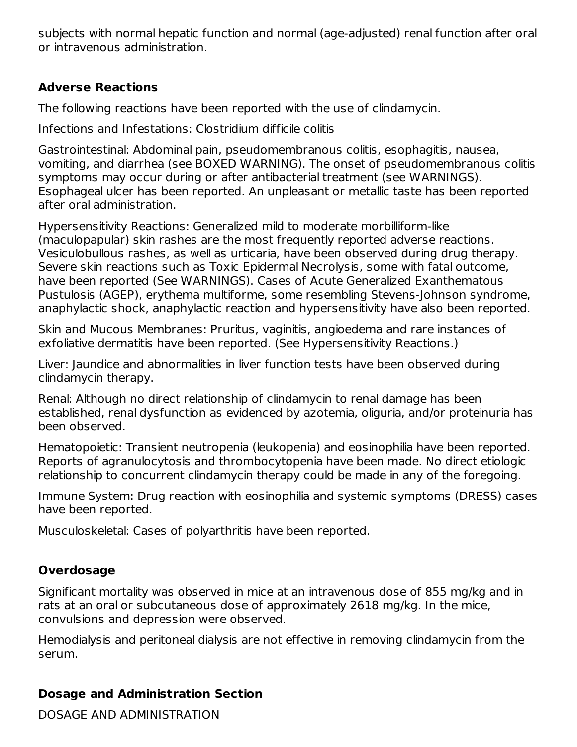subjects with normal hepatic function and normal (age-adjusted) renal function after oral or intravenous administration.

## **Adverse Reactions**

The following reactions have been reported with the use of clindamycin.

Infections and Infestations: Clostridium difficile colitis

Gastrointestinal: Abdominal pain, pseudomembranous colitis, esophagitis, nausea, vomiting, and diarrhea (see BOXED WARNING). The onset of pseudomembranous colitis symptoms may occur during or after antibacterial treatment (see WARNINGS). Esophageal ulcer has been reported. An unpleasant or metallic taste has been reported after oral administration.

Hypersensitivity Reactions: Generalized mild to moderate morbilliform-like (maculopapular) skin rashes are the most frequently reported adverse reactions. Vesiculobullous rashes, as well as urticaria, have been observed during drug therapy. Severe skin reactions such as Toxic Epidermal Necrolysis, some with fatal outcome, have been reported (See WARNINGS). Cases of Acute Generalized Exanthematous Pustulosis (AGEP), erythema multiforme, some resembling Stevens-Johnson syndrome, anaphylactic shock, anaphylactic reaction and hypersensitivity have also been reported.

Skin and Mucous Membranes: Pruritus, vaginitis, angioedema and rare instances of exfoliative dermatitis have been reported. (See Hypersensitivity Reactions.)

Liver: Jaundice and abnormalities in liver function tests have been observed during clindamycin therapy.

Renal: Although no direct relationship of clindamycin to renal damage has been established, renal dysfunction as evidenced by azotemia, oliguria, and/or proteinuria has been observed.

Hematopoietic: Transient neutropenia (leukopenia) and eosinophilia have been reported. Reports of agranulocytosis and thrombocytopenia have been made. No direct etiologic relationship to concurrent clindamycin therapy could be made in any of the foregoing.

Immune System: Drug reaction with eosinophilia and systemic symptoms (DRESS) cases have been reported.

Musculoskeletal: Cases of polyarthritis have been reported.

# **Overdosage**

Significant mortality was observed in mice at an intravenous dose of 855 mg/kg and in rats at an oral or subcutaneous dose of approximately 2618 mg/kg. In the mice, convulsions and depression were observed.

Hemodialysis and peritoneal dialysis are not effective in removing clindamycin from the serum.

## **Dosage and Administration Section**

DOSAGE AND ADMINISTRATION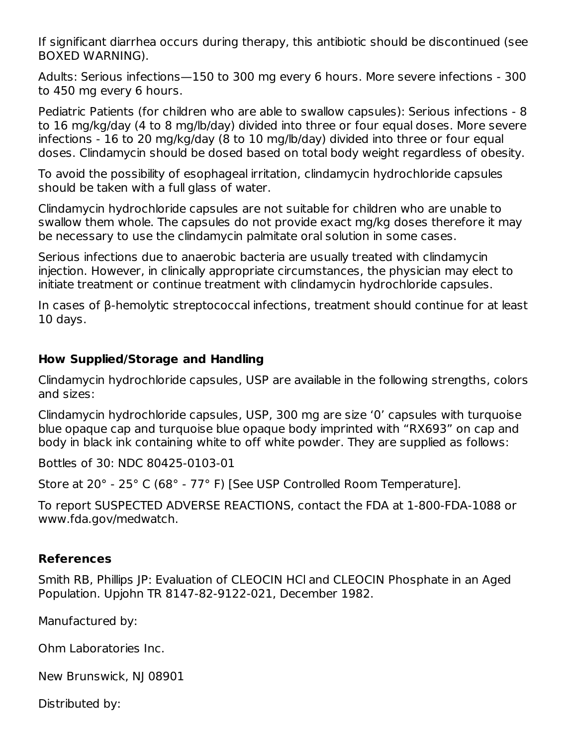If significant diarrhea occurs during therapy, this antibiotic should be discontinued (see BOXED WARNING).

Adults: Serious infections—150 to 300 mg every 6 hours. More severe infections - 300 to 450 mg every 6 hours.

Pediatric Patients (for children who are able to swallow capsules): Serious infections - 8 to 16 mg/kg/day (4 to 8 mg/lb/day) divided into three or four equal doses. More severe infections - 16 to 20 mg/kg/day (8 to 10 mg/lb/day) divided into three or four equal doses. Clindamycin should be dosed based on total body weight regardless of obesity.

To avoid the possibility of esophageal irritation, clindamycin hydrochloride capsules should be taken with a full glass of water.

Clindamycin hydrochloride capsules are not suitable for children who are unable to swallow them whole. The capsules do not provide exact mg/kg doses therefore it may be necessary to use the clindamycin palmitate oral solution in some cases.

Serious infections due to anaerobic bacteria are usually treated with clindamycin injection. However, in clinically appropriate circumstances, the physician may elect to initiate treatment or continue treatment with clindamycin hydrochloride capsules.

In cases of β-hemolytic streptococcal infections, treatment should continue for at least 10 days.

## **How Supplied/Storage and Handling**

Clindamycin hydrochloride capsules, USP are available in the following strengths, colors and sizes:

Clindamycin hydrochloride capsules, USP, 300 mg are size '0' capsules with turquoise blue opaque cap and turquoise blue opaque body imprinted with "RX693" on cap and body in black ink containing white to off white powder. They are supplied as follows:

Bottles of 30: NDC 80425-0103-01

Store at 20° - 25° C (68° - 77° F) [See USP Controlled Room Temperature].

To report SUSPECTED ADVERSE REACTIONS, contact the FDA at 1-800-FDA-1088 or www.fda.gov/medwatch.

## **References**

Smith RB, Phillips JP: Evaluation of CLEOCIN HCl and CLEOCIN Phosphate in an Aged Population. Upjohn TR 8147-82-9122-021, December 1982.

Manufactured by:

Ohm Laboratories Inc.

New Brunswick, NJ 08901

Distributed by: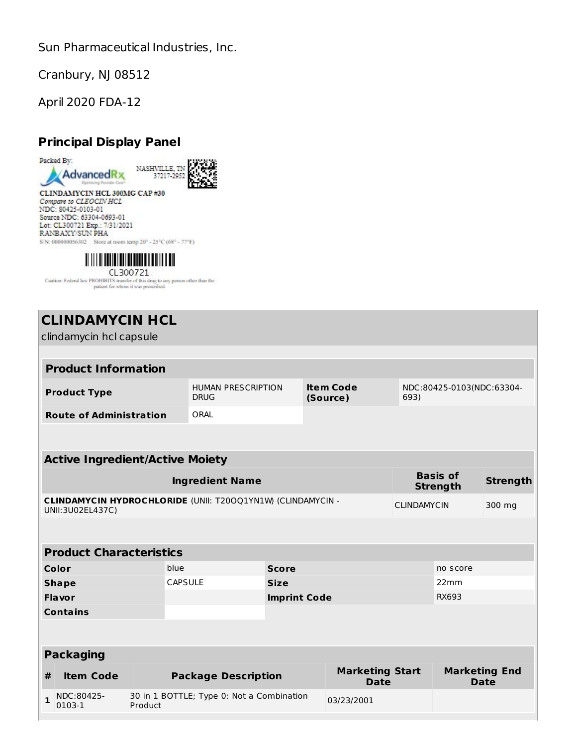Sun Pharmaceutical Industries, Inc.

Cranbury, NJ 08512

April 2020 FDA-12

## **Principal Display Panel**



S/N: 000000056302 Store at room temp 20° - 25°C (68° - 77°F)

<u> A HII ANII ANII ANII ANII ANII ANI</u> CL300721

 $\sf {C}$  aation: Federal law PROHIBITS transfer of this drug to any person other than the patient for whom it was prescribed.

#### **CLINDAMYCIN HCL** clindamycin hcl capsule **Product Information Product Type** HUMAN PRESCRIPTION DRUG **Item Code (Source)** NDC:80425-0103(NDC:63304- 693) **Route of Administration** ORAL **Active Ingredient/Active Moiety Ingredient Name Basis of Strength Strength CLINDAMYCIN HYDROCHLORIDE** (UNII: T20OQ1YN1W) (CLINDAMYCIN - UNII:3U02EL437C) CLINDAMYCIN 300 mg **Product Characteristics Color** blue **Score Score Score Score no score Shape** CAPSULE **Size** 22mm **Flavor Imprint Code** RX693 **Contains Packaging # Item Code Package Description Marketing Start Date Marketing End Date 1** NDC:80425- 0103-1 30 in 1 BOTTLE; Type 0: Not a Combination Product 03/23/2001